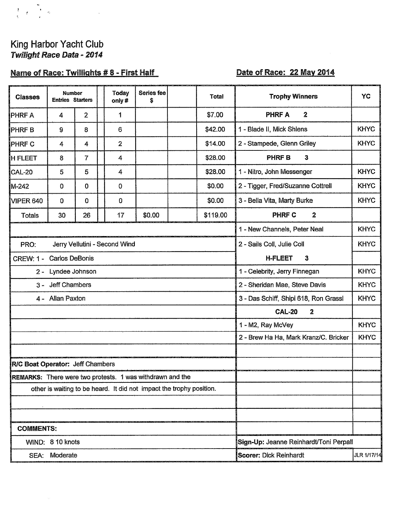# King Harbor Yacht Club Twilight Race Data - 2014

 $\frac{1}{3}$   $\frac{1}{3}$   $\frac{1}{2}$   $\frac{1}{3}$ 

## Name of Race: Twillights #8 - First Half

### Date of Race: 22 May 2014

| <b>Classes</b>   | <b>Number</b><br><b>Entries Starters</b>                    |                                                           |  | <b>Today</b><br>only#                 | <b>Series fee</b><br>\$                                              |                                        | Total       | <b>Trophy Winners</b>             | <b>YC</b>   |  |  |
|------------------|-------------------------------------------------------------|-----------------------------------------------------------|--|---------------------------------------|----------------------------------------------------------------------|----------------------------------------|-------------|-----------------------------------|-------------|--|--|
| <b>PHRFA</b>     | 4                                                           | $\overline{2}$                                            |  | 1                                     |                                                                      |                                        | \$7.00      | <b>PHRFA</b><br>$\overline{2}$    |             |  |  |
| <b>PHRFB</b>     | 9                                                           | 8                                                         |  | 6                                     |                                                                      |                                        | \$42.00     | 1 - Blade II, Mick Shlens         | <b>KHYC</b> |  |  |
| <b>PHRFC</b>     | 4                                                           | 4                                                         |  | $\overline{2}$                        |                                                                      |                                        | \$14.00     | 2 - Stampede, Glenn Griley        | <b>KHYC</b> |  |  |
| H FLEET!         | 8                                                           | $\overline{7}$                                            |  | 4                                     |                                                                      |                                        | \$28.00     | <b>PHRFB</b><br>3                 |             |  |  |
| CAL-20           | 5                                                           | 5                                                         |  | 4                                     |                                                                      |                                        | \$28.00     | 1 - Nitro, John Messenger         | <b>KHYC</b> |  |  |
| M-242            | 0                                                           | $\mathbf 0$                                               |  | 0                                     |                                                                      |                                        | \$0.00      | 2 - Tigger, Fred/Suzanne Cottrell | <b>KHYC</b> |  |  |
| VIPER 640        | $\mathbf 0$                                                 | $\overline{0}$                                            |  | 0                                     |                                                                      |                                        | \$0.00      | 3 - Bella Vita, Marty Burke       | <b>KHYC</b> |  |  |
| <b>Totals</b>    | 30                                                          | 26                                                        |  | 17                                    | \$0.00                                                               |                                        | \$119.00    | <b>PHRF C</b><br>$\mathbf 2$      |             |  |  |
|                  |                                                             |                                                           |  |                                       |                                                                      |                                        |             | 1 - New Channels, Peter Neal      | <b>KHYC</b> |  |  |
| PRO:             | 2 - Sails Coll, Julie Coll<br>Jerry Vellutini - Second Wind |                                                           |  |                                       | <b>KHYC</b>                                                          |                                        |             |                                   |             |  |  |
|                  | CREW: 1 - Carlos DeBonis<br><b>H-FLEET</b><br>3             |                                                           |  |                                       |                                                                      |                                        |             |                                   |             |  |  |
|                  | 1 - Celebrity, Jerry Finnegan<br>2 - Lyndee Johnson         |                                                           |  |                                       |                                                                      |                                        | <b>KHYC</b> |                                   |             |  |  |
|                  | 3 - Jeff Chambers<br>2 - Sheridan Mae, Steve Davis          |                                                           |  |                                       |                                                                      | <b>KHYC</b>                            |             |                                   |             |  |  |
|                  | 4 - Allan Paxton                                            |                                                           |  |                                       |                                                                      | 3 - Das Schiff, Shipi 618, Ron Grassl  | <b>KHYC</b> |                                   |             |  |  |
|                  | <b>CAL-20</b><br>$\mathbf{2}$                               |                                                           |  |                                       |                                                                      |                                        |             |                                   |             |  |  |
|                  |                                                             |                                                           |  |                                       | 1 - M2, Ray McVey                                                    | <b>KHYC</b>                            |             |                                   |             |  |  |
|                  |                                                             |                                                           |  | 2 - Brew Ha Ha, Mark Kranz/C. Bricker | <b>KHYC</b>                                                          |                                        |             |                                   |             |  |  |
|                  |                                                             |                                                           |  |                                       |                                                                      |                                        |             |                                   |             |  |  |
|                  | R/C Boat Operator: Jeff Chambers                            |                                                           |  |                                       |                                                                      |                                        |             |                                   |             |  |  |
|                  |                                                             | REMARKS: There were two protests. 1 was withdrawn and the |  |                                       |                                                                      |                                        |             |                                   |             |  |  |
|                  |                                                             |                                                           |  |                                       | other is waiting to be heard. It did not impact the trophy position. |                                        |             |                                   |             |  |  |
|                  |                                                             |                                                           |  |                                       |                                                                      |                                        |             |                                   |             |  |  |
|                  |                                                             |                                                           |  |                                       |                                                                      |                                        |             |                                   |             |  |  |
| <b>COMMENTS:</b> |                                                             |                                                           |  |                                       |                                                                      |                                        |             |                                   |             |  |  |
|                  | WIND: 8 10 knots                                            |                                                           |  |                                       |                                                                      | Sign-Up: Jeanne Reinhardt/Toni Perpall |             |                                   |             |  |  |
|                  | SEA: Moderate                                               |                                                           |  |                                       |                                                                      | Scorer: Dick Reinhardt<br>JLR 1/17/14  |             |                                   |             |  |  |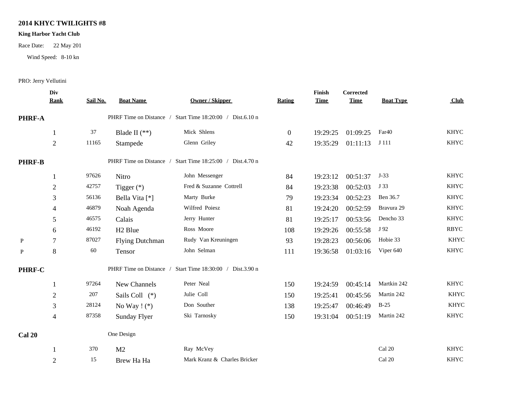#### **2014 KHYC TWILIGHTS #8**

#### **King Harbor Yacht Club**

Race Date: 22 May 201

Wind Speed: 8-10 kn

#### PRO: Jerry Vellutini

|                |             |                        |                                                                                             |                                                                                     |          |                       |                                 | Club             |
|----------------|-------------|------------------------|---------------------------------------------------------------------------------------------|-------------------------------------------------------------------------------------|----------|-----------------------|---------------------------------|------------------|
| <b>PHRF-A</b>  |             |                        |                                                                                             |                                                                                     |          |                       |                                 |                  |
|                | 37          | Blade II $(**)$        | Mick Shlens                                                                                 | $\mathbf{0}$                                                                        | 19:29:25 | 01:09:25              | Far <sub>40</sub>               | <b>KHYC</b>      |
| $\overline{2}$ | 11165       | Stampede               | Glenn Griley                                                                                | 42                                                                                  | 19:35:29 | 01:11:13              | J 111                           | <b>KHYC</b>      |
| <b>PHRF-B</b>  |             |                        | Start Time 18:25:00 / Dist.4.70 n                                                           |                                                                                     |          |                       |                                 |                  |
| 1              | 97626       | Nitro                  | John Messenger                                                                              | 84                                                                                  | 19:23:12 | 00:51:37              | $J-33$                          | <b>KHYC</b>      |
| $\overline{2}$ | 42757       | Tigger $(*)$           | Fred & Suzanne Cottrell                                                                     | 84                                                                                  | 19:23:38 | 00:52:03              | J 33                            | <b>KHYC</b>      |
| 3              | 56136       | Bella Vita [*]         | Marty Burke                                                                                 | 79                                                                                  | 19:23:34 | 00:52:23              | Ben 36.7                        | <b>KHYC</b>      |
| 4              | 46879       | Noah Agenda            | Wilfred Poiesz                                                                              | 81                                                                                  | 19:24:20 | 00:52:59              | Bravura 29                      | <b>KHYC</b>      |
| 5              | 46575       | Calais                 | Jerry Hunter                                                                                | 81                                                                                  | 19:25:17 | 00:53:56              | Dencho 33                       | <b>KHYC</b>      |
| 6              | 46192       | H <sub>2</sub> Blue    | Ross Moore                                                                                  | 108                                                                                 | 19:29:26 | 00:55:58              | J 92                            | <b>RBYC</b>      |
| 7              | 87027       | <b>Flying Dutchman</b> | Rudy Van Kreuningen                                                                         | 93                                                                                  | 19:28:23 | 00:56:06              | Hobie 33                        | <b>KHYC</b>      |
| $8\,$          | 60          | Tensor                 | John Selman                                                                                 | 111                                                                                 | 19:36:58 | 01:03:16              | Viper 640                       | <b>KHYC</b>      |
| PHRF-C         |             |                        | Start Time 18:30:00 / Dist.3.90 n                                                           |                                                                                     |          |                       |                                 |                  |
|                | 97264       | New Channels           | Peter Neal                                                                                  | 150                                                                                 | 19:24:59 | 00:45:14              | Martkin 242                     | <b>KHYC</b>      |
| $\mathbf{2}$   | 207         | Sails Coll (*)         | Julie Coll                                                                                  | 150                                                                                 | 19:25:41 | 00:45:56              | Martin 242                      | <b>KHYC</b>      |
| 3              | 28124       | No Way $!$ (*)         | Don Souther                                                                                 | 138                                                                                 | 19:25:47 | 00:46:49              | $B-25$                          | <b>KHYC</b>      |
| $\overline{4}$ | 87358       | <b>Sunday Flyer</b>    | Ski Tarnosky                                                                                | 150                                                                                 | 19:31:04 | 00:51:19              | Martin 242                      | <b>KHYC</b>      |
|                |             |                        |                                                                                             |                                                                                     |          |                       |                                 |                  |
|                | 370         | M <sub>2</sub>         | Ray McVey                                                                                   |                                                                                     |          |                       | Cal 20                          | <b>KHYC</b>      |
| $\overline{2}$ | 15          | Brew Ha Ha             | Mark Kranz & Charles Bricker                                                                |                                                                                     |          |                       | Cal 20                          | <b>KHYC</b>      |
|                | <b>Rank</b> | Sail No.               | Div<br><b>Boat Name</b><br>PHRF Time on Distance /<br>PHRF Time on Distance /<br>One Design | <b>Owner / Skipper</b><br>PHRF Time on Distance / Start Time 18:20:00 / Dist.6.10 n | Rating   | Finish<br><b>Time</b> | <b>Corrected</b><br><b>Time</b> | <b>Boat Type</b> |